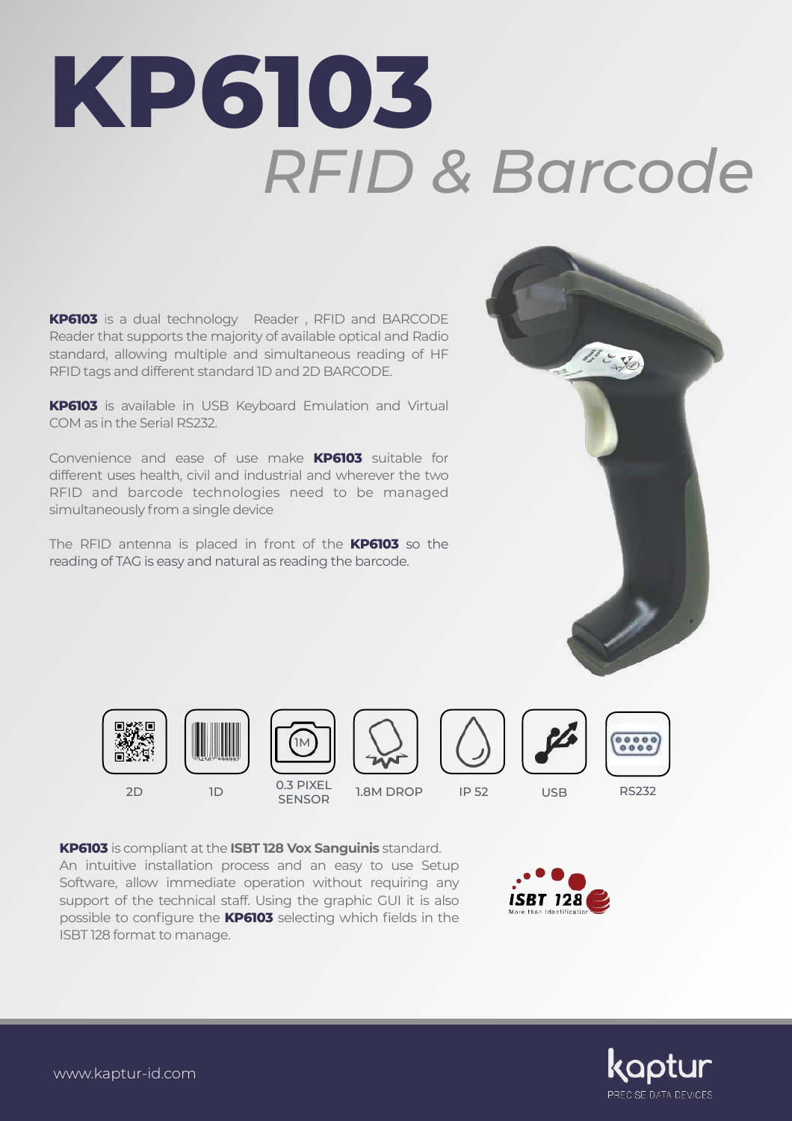## **KP6103** *RFID & Barcode*

**KP6103** is a dual technology Reader , RFID and BARCODE Reader that supports the majority of available optical and Radio standard, allowing multiple and simultaneous reading of HF RFID tags and different standard 1D and 2D BARCODE.

**KP6103** is available in USB Keyboard Emulation and Virtual COM as in the Serial RS232.

Convenience and ease of use make **KP6103** suitable for different uses health, civil and industrial and wherever the two RFID and barcode technologies need to be managed simultaneously from a single device

The RFID antenna is placed in front of the **KP6103** so the reading of TAG is easy and natural as reading the barcode.













RS232

**KP6103** is compliant at the **ISBT 128 Vox Sanguinis** standard. An intuitive installation process and an easy to use Setup Software, allow immediate operation without requiring any support of the technical staff. Using the graphic GUI it is also possible to configure the **KP6103** selecting which fields in the ISBT 128 format to manage.